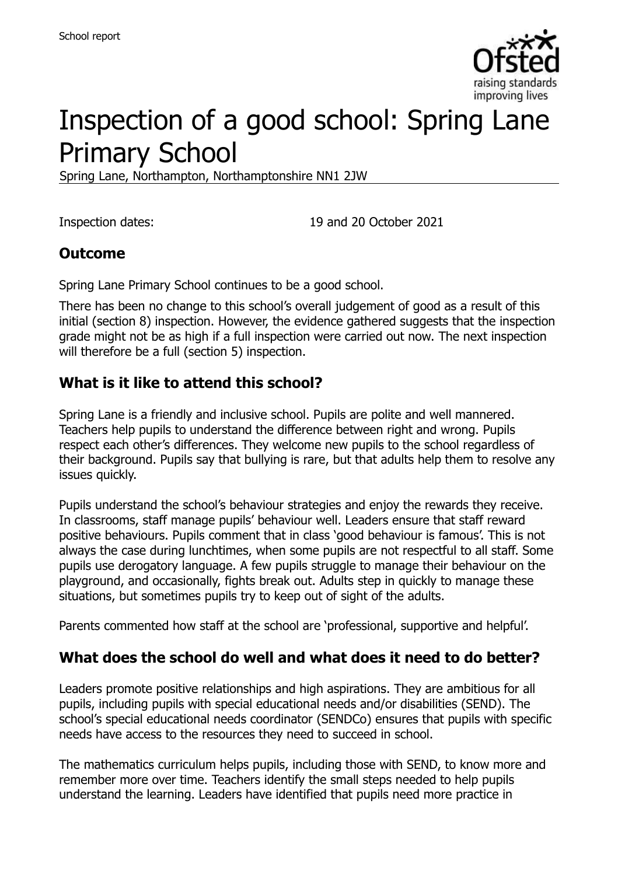

# Inspection of a good school: Spring Lane Primary School

Spring Lane, Northampton, Northamptonshire NN1 2JW

Inspection dates: 19 and 20 October 2021

#### **Outcome**

Spring Lane Primary School continues to be a good school.

There has been no change to this school's overall judgement of good as a result of this initial (section 8) inspection. However, the evidence gathered suggests that the inspection grade might not be as high if a full inspection were carried out now. The next inspection will therefore be a full (section 5) inspection.

#### **What is it like to attend this school?**

Spring Lane is a friendly and inclusive school. Pupils are polite and well mannered. Teachers help pupils to understand the difference between right and wrong. Pupils respect each other's differences. They welcome new pupils to the school regardless of their background. Pupils say that bullying is rare, but that adults help them to resolve any issues quickly.

Pupils understand the school's behaviour strategies and enjoy the rewards they receive. In classrooms, staff manage pupils' behaviour well. Leaders ensure that staff reward positive behaviours. Pupils comment that in class 'good behaviour is famous'. This is not always the case during lunchtimes, when some pupils are not respectful to all staff. Some pupils use derogatory language. A few pupils struggle to manage their behaviour on the playground, and occasionally, fights break out. Adults step in quickly to manage these situations, but sometimes pupils try to keep out of sight of the adults.

Parents commented how staff at the school are 'professional, supportive and helpful'.

#### **What does the school do well and what does it need to do better?**

Leaders promote positive relationships and high aspirations. They are ambitious for all pupils, including pupils with special educational needs and/or disabilities (SEND). The school's special educational needs coordinator (SENDCo) ensures that pupils with specific needs have access to the resources they need to succeed in school.

The mathematics curriculum helps pupils, including those with SEND, to know more and remember more over time. Teachers identify the small steps needed to help pupils understand the learning. Leaders have identified that pupils need more practice in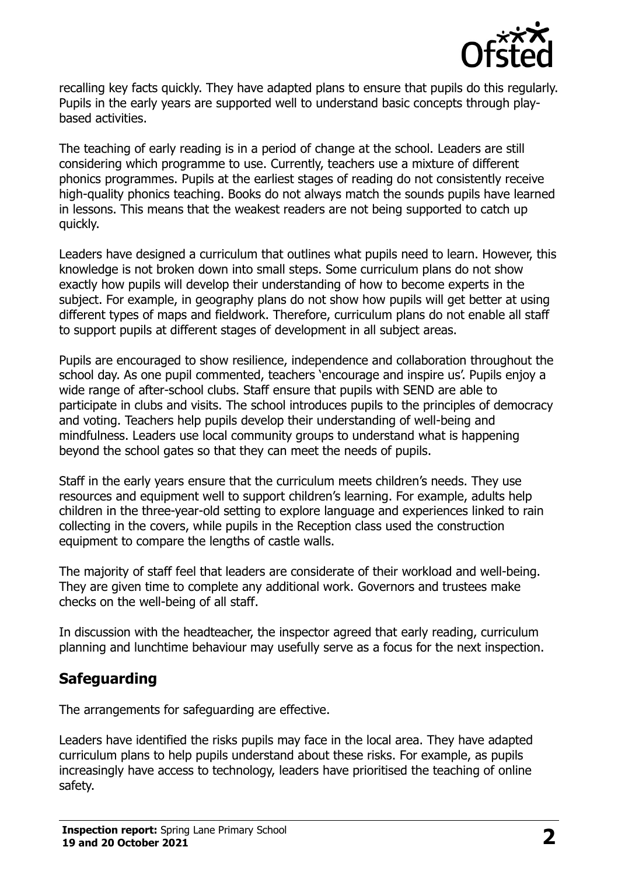

recalling key facts quickly. They have adapted plans to ensure that pupils do this regularly. Pupils in the early years are supported well to understand basic concepts through playbased activities.

The teaching of early reading is in a period of change at the school. Leaders are still considering which programme to use. Currently, teachers use a mixture of different phonics programmes. Pupils at the earliest stages of reading do not consistently receive high-quality phonics teaching. Books do not always match the sounds pupils have learned in lessons. This means that the weakest readers are not being supported to catch up quickly.

Leaders have designed a curriculum that outlines what pupils need to learn. However, this knowledge is not broken down into small steps. Some curriculum plans do not show exactly how pupils will develop their understanding of how to become experts in the subject. For example, in geography plans do not show how pupils will get better at using different types of maps and fieldwork. Therefore, curriculum plans do not enable all staff to support pupils at different stages of development in all subject areas.

Pupils are encouraged to show resilience, independence and collaboration throughout the school day. As one pupil commented, teachers 'encourage and inspire us'. Pupils enjoy a wide range of after-school clubs. Staff ensure that pupils with SEND are able to participate in clubs and visits. The school introduces pupils to the principles of democracy and voting. Teachers help pupils develop their understanding of well-being and mindfulness. Leaders use local community groups to understand what is happening beyond the school gates so that they can meet the needs of pupils.

Staff in the early years ensure that the curriculum meets children's needs. They use resources and equipment well to support children's learning. For example, adults help children in the three-year-old setting to explore language and experiences linked to rain collecting in the covers, while pupils in the Reception class used the construction equipment to compare the lengths of castle walls.

The majority of staff feel that leaders are considerate of their workload and well-being. They are given time to complete any additional work. Governors and trustees make checks on the well-being of all staff.

In discussion with the headteacher, the inspector agreed that early reading, curriculum planning and lunchtime behaviour may usefully serve as a focus for the next inspection.

#### **Safeguarding**

The arrangements for safeguarding are effective.

Leaders have identified the risks pupils may face in the local area. They have adapted curriculum plans to help pupils understand about these risks. For example, as pupils increasingly have access to technology, leaders have prioritised the teaching of online safety.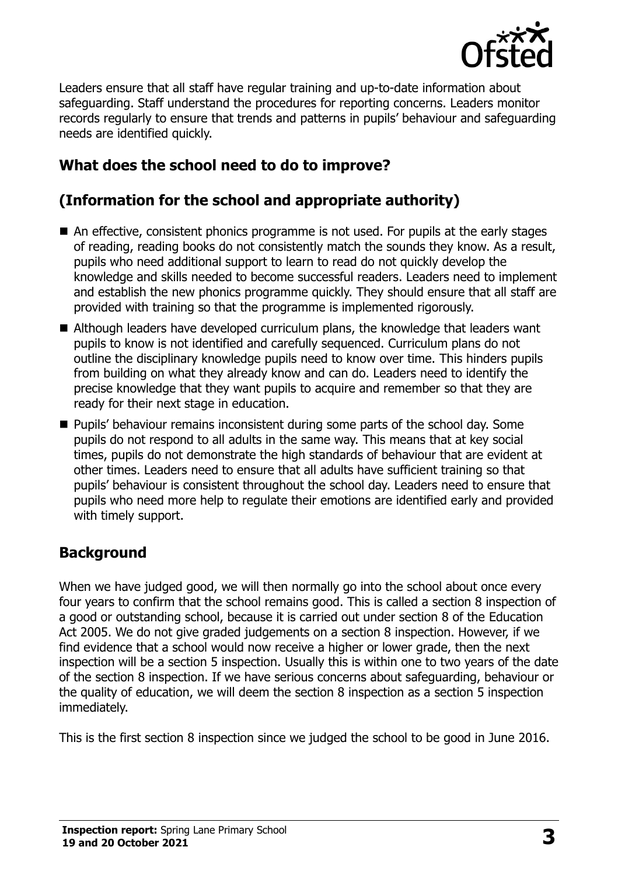

Leaders ensure that all staff have regular training and up-to-date information about safeguarding. Staff understand the procedures for reporting concerns. Leaders monitor records regularly to ensure that trends and patterns in pupils' behaviour and safeguarding needs are identified quickly.

# **What does the school need to do to improve?**

## **(Information for the school and appropriate authority)**

- An effective, consistent phonics programme is not used. For pupils at the early stages of reading, reading books do not consistently match the sounds they know. As a result, pupils who need additional support to learn to read do not quickly develop the knowledge and skills needed to become successful readers. Leaders need to implement and establish the new phonics programme quickly. They should ensure that all staff are provided with training so that the programme is implemented rigorously.
- Although leaders have developed curriculum plans, the knowledge that leaders want pupils to know is not identified and carefully sequenced. Curriculum plans do not outline the disciplinary knowledge pupils need to know over time. This hinders pupils from building on what they already know and can do. Leaders need to identify the precise knowledge that they want pupils to acquire and remember so that they are ready for their next stage in education.
- **Pupils' behaviour remains inconsistent during some parts of the school day. Some** pupils do not respond to all adults in the same way. This means that at key social times, pupils do not demonstrate the high standards of behaviour that are evident at other times. Leaders need to ensure that all adults have sufficient training so that pupils' behaviour is consistent throughout the school day. Leaders need to ensure that pupils who need more help to regulate their emotions are identified early and provided with timely support.

### **Background**

When we have judged good, we will then normally go into the school about once every four years to confirm that the school remains good. This is called a section 8 inspection of a good or outstanding school, because it is carried out under section 8 of the Education Act 2005. We do not give graded judgements on a section 8 inspection. However, if we find evidence that a school would now receive a higher or lower grade, then the next inspection will be a section 5 inspection. Usually this is within one to two years of the date of the section 8 inspection. If we have serious concerns about safeguarding, behaviour or the quality of education, we will deem the section 8 inspection as a section 5 inspection immediately.

This is the first section 8 inspection since we judged the school to be good in June 2016.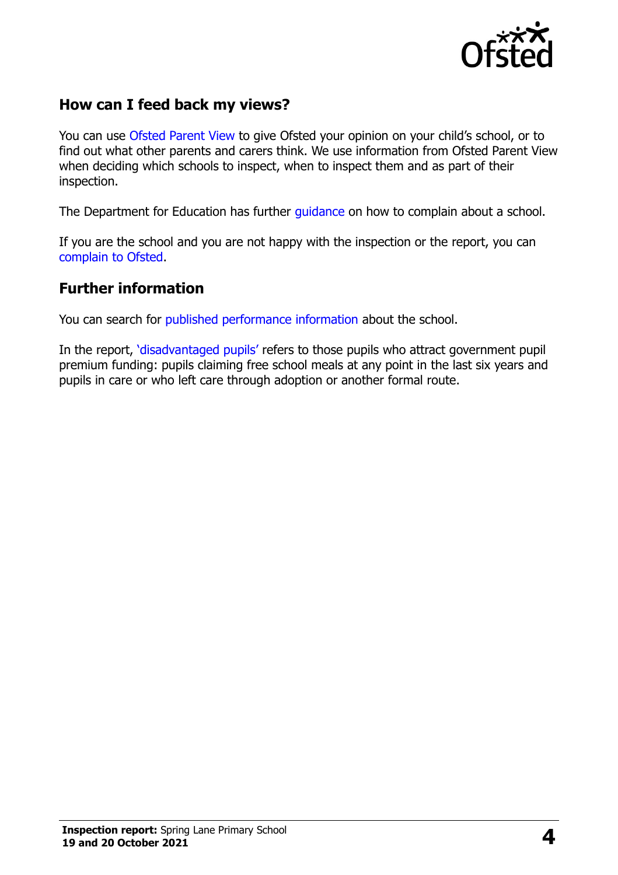

#### **How can I feed back my views?**

You can use [Ofsted Parent View](https://parentview.ofsted.gov.uk/) to give Ofsted your opinion on your child's school, or to find out what other parents and carers think. We use information from Ofsted Parent View when deciding which schools to inspect, when to inspect them and as part of their inspection.

The Department for Education has further quidance on how to complain about a school.

If you are the school and you are not happy with the inspection or the report, you can [complain to Ofsted.](https://www.gov.uk/complain-ofsted-report)

#### **Further information**

You can search for [published performance information](http://www.compare-school-performance.service.gov.uk/) about the school.

In the report, '[disadvantaged pupils](http://www.gov.uk/guidance/pupil-premium-information-for-schools-and-alternative-provision-settings)' refers to those pupils who attract government pupil premium funding: pupils claiming free school meals at any point in the last six years and pupils in care or who left care through adoption or another formal route.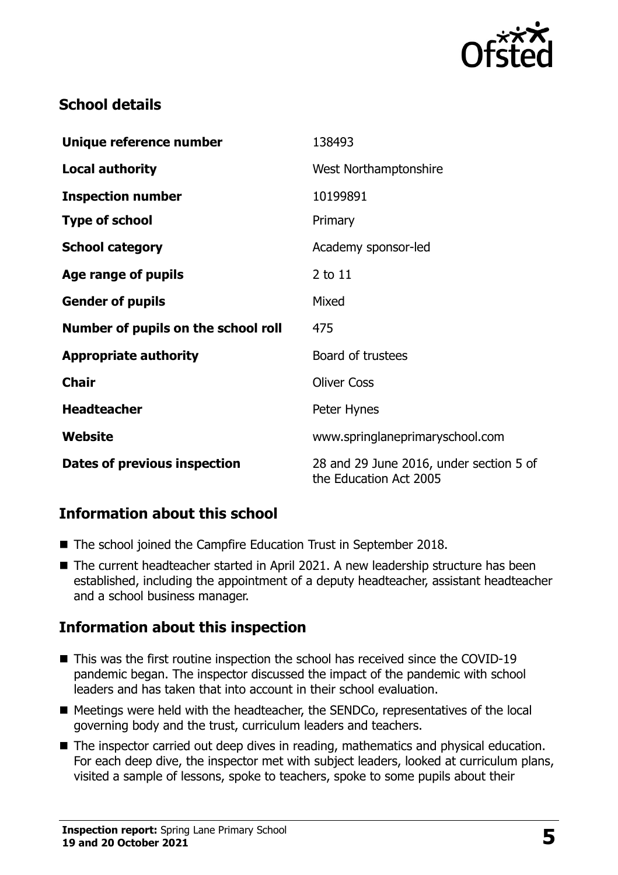

## **School details**

| Unique reference number             | 138493                                                            |
|-------------------------------------|-------------------------------------------------------------------|
| <b>Local authority</b>              | West Northamptonshire                                             |
| <b>Inspection number</b>            | 10199891                                                          |
| <b>Type of school</b>               | Primary                                                           |
| <b>School category</b>              | Academy sponsor-led                                               |
| Age range of pupils                 | $2$ to $11$                                                       |
| <b>Gender of pupils</b>             | Mixed                                                             |
| Number of pupils on the school roll | 475                                                               |
| <b>Appropriate authority</b>        | Board of trustees                                                 |
| <b>Chair</b>                        | <b>Oliver Coss</b>                                                |
| <b>Headteacher</b>                  | Peter Hynes                                                       |
| Website                             | www.springlaneprimaryschool.com                                   |
| Dates of previous inspection        | 28 and 29 June 2016, under section 5 of<br>the Education Act 2005 |

### **Information about this school**

- The school joined the Campfire Education Trust in September 2018.
- The current headteacher started in April 2021. A new leadership structure has been established, including the appointment of a deputy headteacher, assistant headteacher and a school business manager.

### **Information about this inspection**

- This was the first routine inspection the school has received since the COVID-19 pandemic began. The inspector discussed the impact of the pandemic with school leaders and has taken that into account in their school evaluation.
- Meetings were held with the headteacher, the SENDCo, representatives of the local governing body and the trust, curriculum leaders and teachers.
- The inspector carried out deep dives in reading, mathematics and physical education. For each deep dive, the inspector met with subject leaders, looked at curriculum plans, visited a sample of lessons, spoke to teachers, spoke to some pupils about their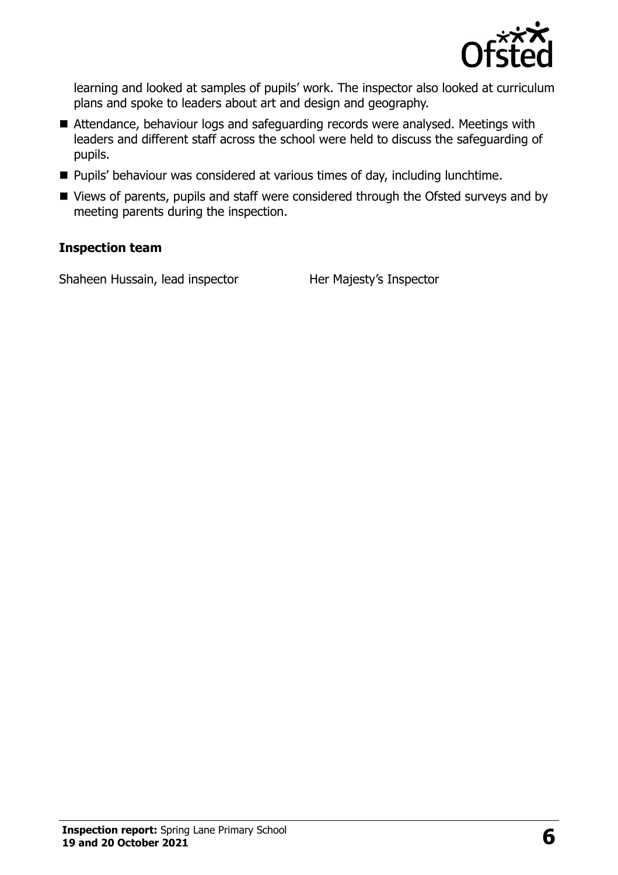

learning and looked at samples of pupils' work. The inspector also looked at curriculum plans and spoke to leaders about art and design and geography.

- Attendance, behaviour logs and safeguarding records were analysed. Meetings with leaders and different staff across the school were held to discuss the safeguarding of pupils.
- Pupils' behaviour was considered at various times of day, including lunchtime.
- Views of parents, pupils and staff were considered through the Ofsted surveys and by meeting parents during the inspection.

#### **Inspection team**

Shaheen Hussain, lead inspector Her Majesty's Inspector